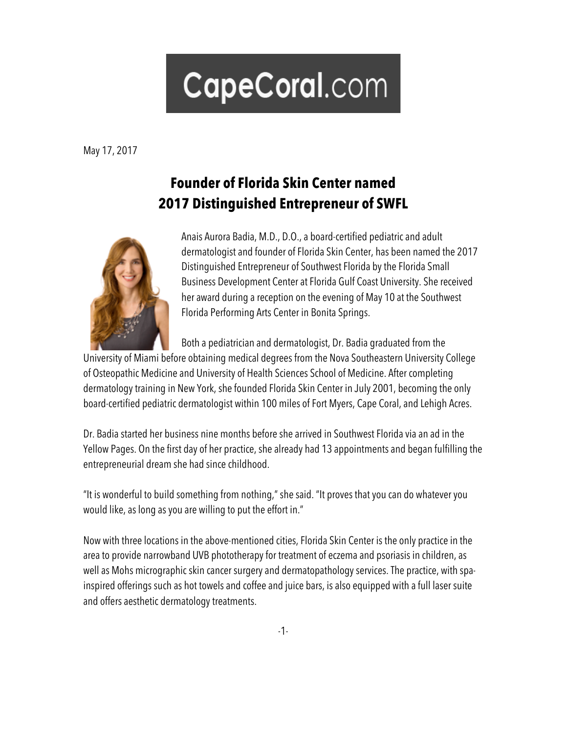## CapeCoral.com

May 17, 2017

## **Founder of Florida Skin Center named 2017 Distinguished Entrepreneur of SWFL**



Anais Aurora Badia, M.D., D.O., a board-certified pediatric and adult dermatologist and founder of Florida Skin Center, has been named the 2017 Distinguished Entrepreneur of Southwest Florida by the Florida Small Business Development Center at Florida Gulf Coast University. She received her award during a reception on the evening of May 10 at the Southwest Florida Performing Arts Center in Bonita Springs.

Both a pediatrician and dermatologist, Dr. Badia graduated from the

University of Miami before obtaining medical degrees from the Nova Southeastern University College of Osteopathic Medicine and University of Health Sciences School of Medicine. After completing dermatology training in New York, she founded Florida Skin Center in July 2001, becoming the only board-certified pediatric dermatologist within 100 miles of Fort Myers, Cape Coral, and Lehigh Acres.

Dr. Badia started her business nine months before she arrived in Southwest Florida via an ad in the Yellow Pages. On the first day of her practice, she already had 13 appointments and began fulfilling the entrepreneurial dream she had since childhood.

"It is wonderful to build something from nothing," she said. "It proves that you can do whatever you would like, as long as you are willing to put the effort in."

Now with three locations in the above-mentioned cities, Florida Skin Center is the only practice in the area to provide narrowband UVB phototherapy for treatment of eczema and psoriasis in children, as well as Mohs micrographic skin cancer surgery and dermatopathology services. The practice, with spainspired offerings such as hot towels and coffee and juice bars, is also equipped with a full laser suite and offers aesthetic dermatology treatments.